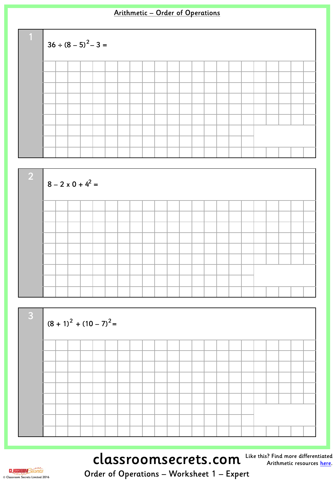$$
36 \div (8-5)^2 - 3 =
$$





classroomsecrets.com

Like this? Find more differentiated Arithmetic resources [here](http://www.classroomsecrets.com/tag/arithmetic).

**CLASSROOM** Secrets © Classroom Secrets Limited 2016

Order of Operations – Worksheet 1 – Expert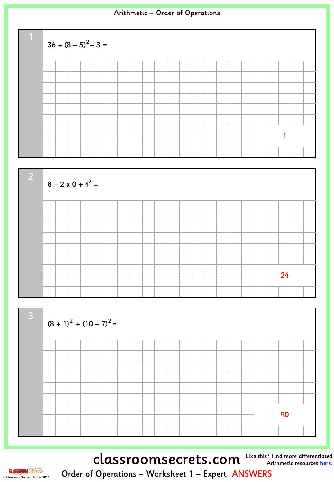$$
36 \div (8-5)^2 - 3 =
$$





classroomsecrets.com Like this? Find more differentiated



Order of Operations – Worksheet 1 – Expert ANSWERS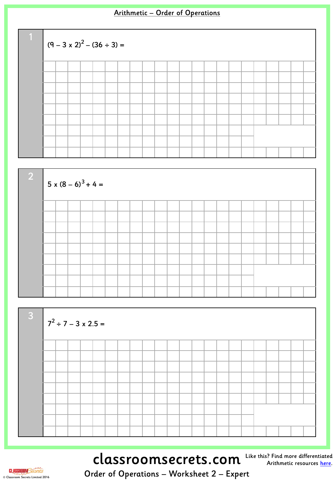





classroomsecrets.com Like this? Find more differentiated

Arithmetic resources <u>[here](http://www.classroomsecrets.com/tag/arithmetic)</u>.

**CLASSROOM**Secret © Classroom Secrets Limited 2016

Order of Operations – Worksheet 2 – Expert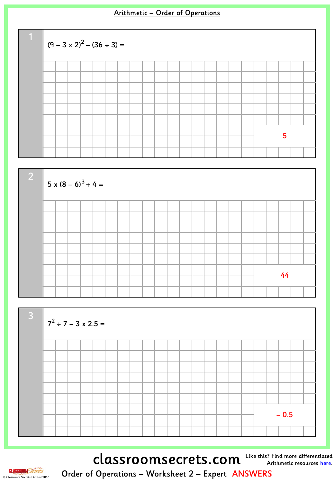





classroomsecrets.com Like this? Find more differentiated



Order of Operations – Worksheet 2 – Expert ANSWERS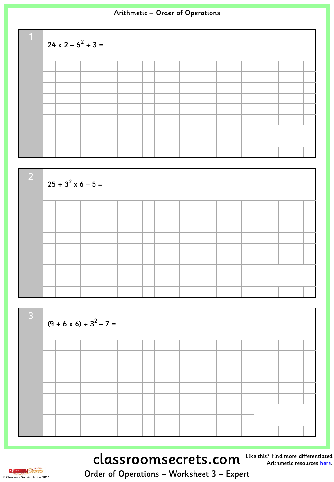





# classroomsecrets.com Like this? Find more differentiated

Arithmetic resources <u>[here](http://www.classroomsecrets.com/tag/arithmetic)</u>.

**CLASSROOM** Secrets © Classroom Secrets Limited 2016

Order of Operations – Worksheet 3 – Expert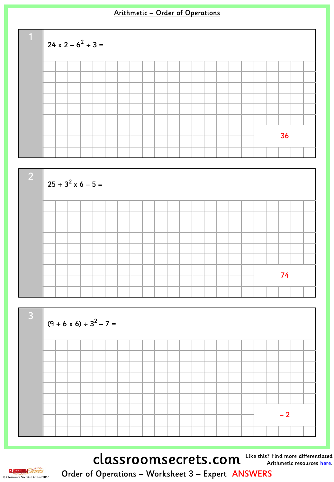





classroomsecrets.com Like this? Find more differentiated



Order of Operations – Worksheet 3 – Expert ANSWERS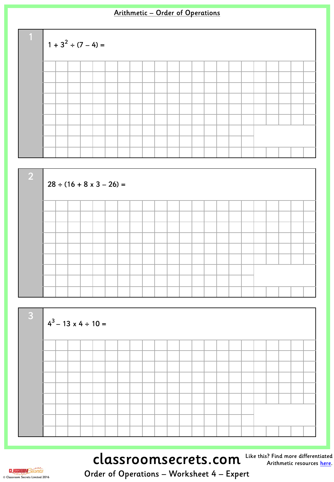$$
1 + 32 \div (7 - 4) =
$$





# classroomsecrets.com

Like this? Find more differentiated Arithmetic resources [here](http://www.classroomsecrets.com/tag/arithmetic).

**CLASSROOM**Secrets © Classroom Secrets Limited 2016

Order of Operations – Worksheet 4 – Expert